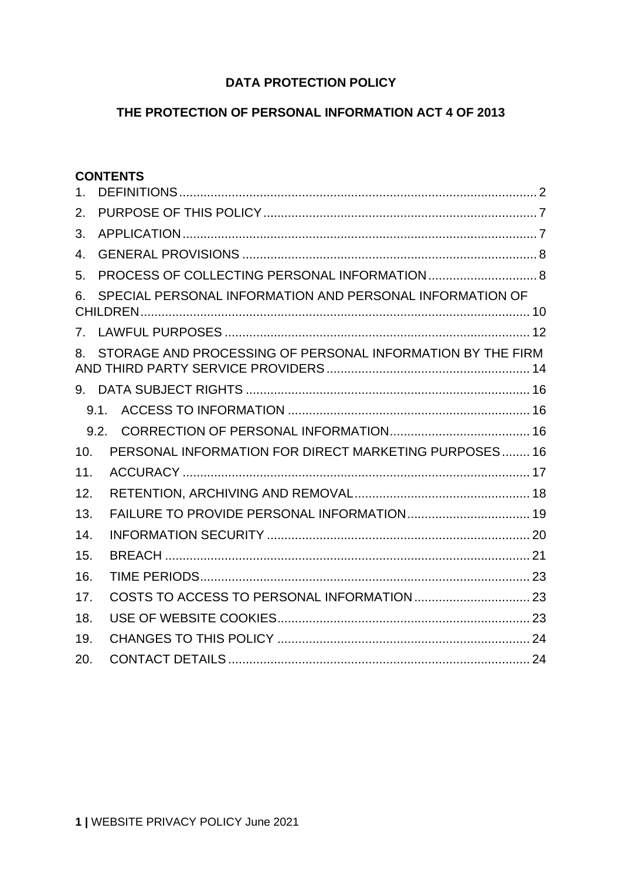# **DATA PROTECTION POLICY**

# **THE PROTECTION OF PERSONAL INFORMATION ACT 4 OF 2013**

### **CONTENTS**

<span id="page-0-0"></span>

| 1 <sub>1</sub> |                                                            |  |
|----------------|------------------------------------------------------------|--|
| 2.             |                                                            |  |
| 3.             |                                                            |  |
| 4.             |                                                            |  |
| 5.             |                                                            |  |
| 6.             | SPECIAL PERSONAL INFORMATION AND PERSONAL INFORMATION OF   |  |
|                |                                                            |  |
| 8.             | STORAGE AND PROCESSING OF PERSONAL INFORMATION BY THE FIRM |  |
|                |                                                            |  |
|                | 9.1.                                                       |  |
|                | 9.2.                                                       |  |
| 10.            | PERSONAL INFORMATION FOR DIRECT MARKETING PURPOSES 16      |  |
| 11.            |                                                            |  |
| 12.            |                                                            |  |
| 13.            |                                                            |  |
| 14.            |                                                            |  |
| 15.            |                                                            |  |
| 16.            |                                                            |  |
| 17.            |                                                            |  |
| 18.            |                                                            |  |
| 19.            |                                                            |  |
| 20.            |                                                            |  |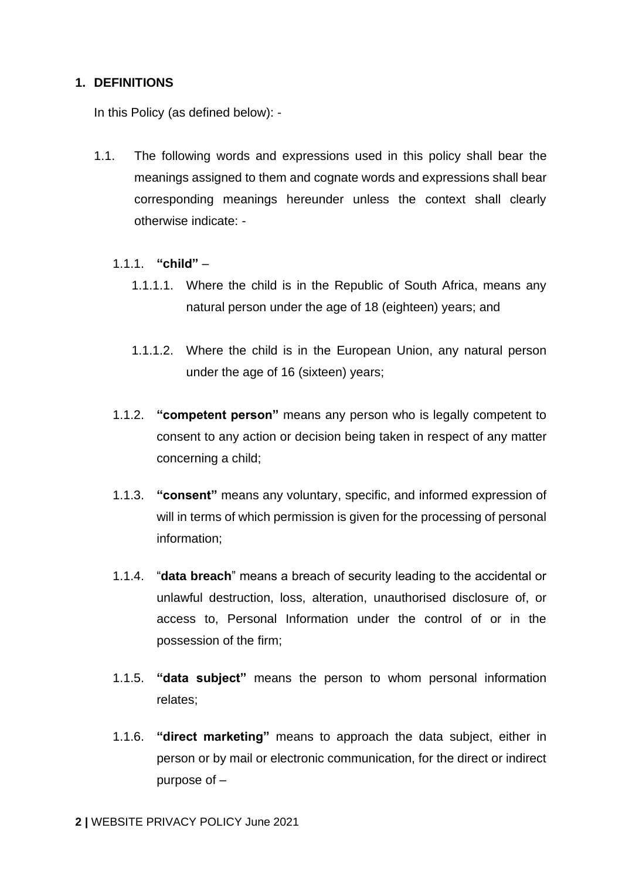# **1. DEFINITIONS**

In this Policy (as defined below): -

- 1.1. The following words and expressions used in this policy shall bear the meanings assigned to them and cognate words and expressions shall bear corresponding meanings hereunder unless the context shall clearly otherwise indicate: -
	- 1.1.1. **"child"**
		- 1.1.1.1. Where the child is in the Republic of South Africa, means any natural person under the age of 18 (eighteen) years; and
		- 1.1.1.2. Where the child is in the European Union, any natural person under the age of 16 (sixteen) years;
	- 1.1.2. **"competent person"** means any person who is legally competent to consent to any action or decision being taken in respect of any matter concerning a child;
	- 1.1.3. **"consent"** means any voluntary, specific, and informed expression of will in terms of which permission is given for the processing of personal information;
	- 1.1.4. "**data breach**" means a breach of security leading to the accidental or unlawful destruction, loss, alteration, unauthorised disclosure of, or access to, Personal Information under the control of or in the possession of the firm;
	- 1.1.5. **"data subject"** means the person to whom personal information relates;
	- 1.1.6. **"direct marketing"** means to approach the data subject, either in person or by mail or electronic communication, for the direct or indirect purpose of –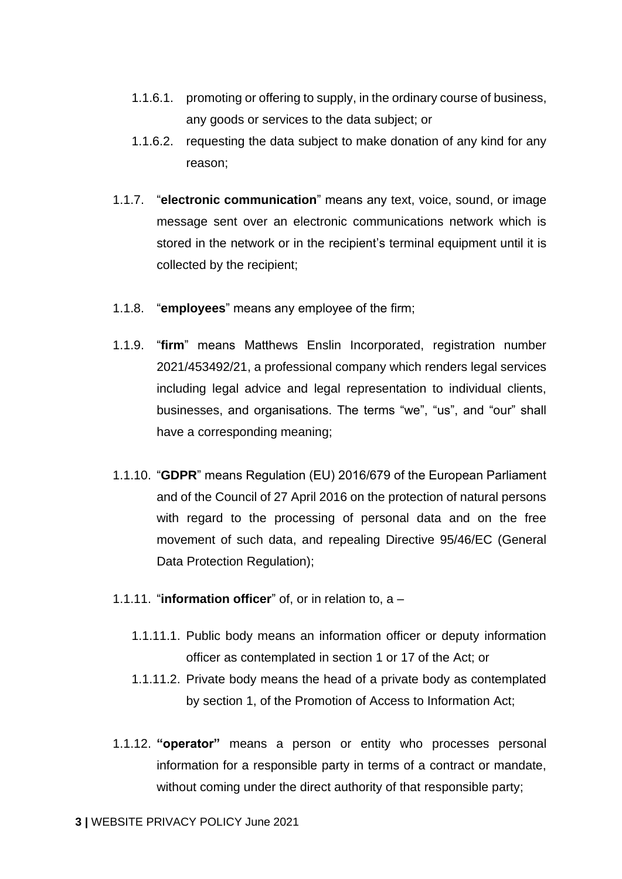- 1.1.6.1. promoting or offering to supply, in the ordinary course of business, any goods or services to the data subject; or
- 1.1.6.2. requesting the data subject to make donation of any kind for any reason;
- 1.1.7. "**electronic communication**" means any text, voice, sound, or image message sent over an electronic communications network which is stored in the network or in the recipient's terminal equipment until it is collected by the recipient;
- 1.1.8. "**employees**" means any employee of the firm;
- 1.1.9. "**firm**" means Matthews Enslin Incorporated, registration number 2021/453492/21, a professional company which renders legal services including legal advice and legal representation to individual clients, businesses, and organisations. The terms "we", "us", and "our" shall have a corresponding meaning;
- 1.1.10. "**GDPR**" means Regulation (EU) 2016/679 of the European Parliament and of the Council of 27 April 2016 on the protection of natural persons with regard to the processing of personal data and on the free movement of such data, and repealing Directive 95/46/EC (General Data Protection Regulation);
- 1.1.11. "**information officer**" of, or in relation to, a
	- 1.1.11.1. Public body means an information officer or deputy information officer as contemplated in section 1 or 17 of the Act; or
	- 1.1.11.2. Private body means the head of a private body as contemplated by section 1, of the Promotion of Access to Information Act;
- 1.1.12. **"operator"** means a person or entity who processes personal information for a responsible party in terms of a contract or mandate, without coming under the direct authority of that responsible party;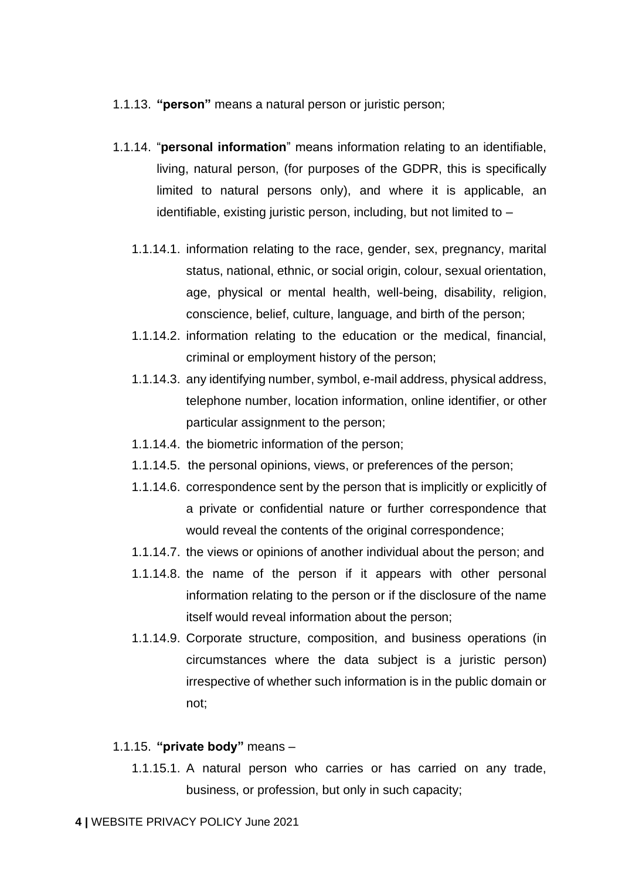- 1.1.13. **"person"** means a natural person or juristic person;
- 1.1.14. "**personal information**" means information relating to an identifiable, living, natural person, (for purposes of the GDPR, this is specifically limited to natural persons only), and where it is applicable, an identifiable, existing juristic person, including, but not limited to –
	- 1.1.14.1. information relating to the race, gender, sex, pregnancy, marital status, national, ethnic, or social origin, colour, sexual orientation, age, physical or mental health, well-being, disability, religion, conscience, belief, culture, language, and birth of the person;
	- 1.1.14.2. information relating to the education or the medical, financial, criminal or employment history of the person;
	- 1.1.14.3. any identifying number, symbol, e-mail address, physical address, telephone number, location information, online identifier, or other particular assignment to the person;
	- 1.1.14.4. the biometric information of the person;
	- 1.1.14.5. the personal opinions, views, or preferences of the person;
	- 1.1.14.6. correspondence sent by the person that is implicitly or explicitly of a private or confidential nature or further correspondence that would reveal the contents of the original correspondence;
	- 1.1.14.7. the views or opinions of another individual about the person; and
	- 1.1.14.8. the name of the person if it appears with other personal information relating to the person or if the disclosure of the name itself would reveal information about the person;
	- 1.1.14.9. Corporate structure, composition, and business operations (in circumstances where the data subject is a juristic person) irrespective of whether such information is in the public domain or not;

#### 1.1.15. **"private body"** means –

1.1.15.1. A natural person who carries or has carried on any trade, business, or profession, but only in such capacity;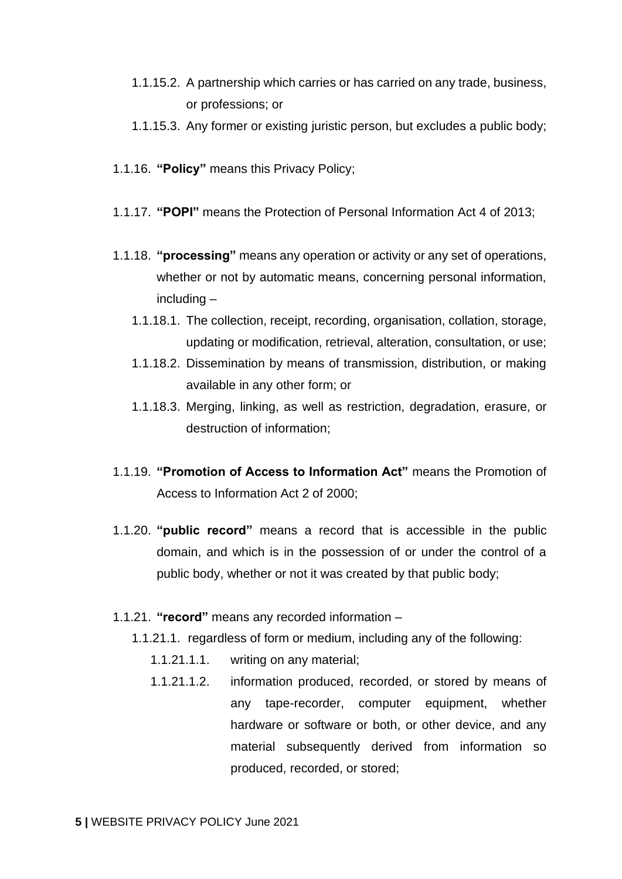- 1.1.15.2. A partnership which carries or has carried on any trade, business, or professions; or
- 1.1.15.3. Any former or existing juristic person, but excludes a public body;
- 1.1.16. **"Policy"** means this Privacy Policy;
- 1.1.17. **"POPI"** means the Protection of Personal Information Act 4 of 2013;
- 1.1.18. **"processing"** means any operation or activity or any set of operations, whether or not by automatic means, concerning personal information, including –
	- 1.1.18.1. The collection, receipt, recording, organisation, collation, storage, updating or modification, retrieval, alteration, consultation, or use;
	- 1.1.18.2. Dissemination by means of transmission, distribution, or making available in any other form; or
	- 1.1.18.3. Merging, linking, as well as restriction, degradation, erasure, or destruction of information;
- 1.1.19. **"Promotion of Access to Information Act"** means the Promotion of Access to Information Act 2 of 2000;
- 1.1.20. **"public record"** means a record that is accessible in the public domain, and which is in the possession of or under the control of a public body, whether or not it was created by that public body;
- 1.1.21. **"record"** means any recorded information
	- 1.1.21.1. regardless of form or medium, including any of the following:
		- 1.1.21.1.1. writing on any material;
		- 1.1.21.1.2. information produced, recorded, or stored by means of any tape-recorder, computer equipment, whether hardware or software or both, or other device, and any material subsequently derived from information so produced, recorded, or stored;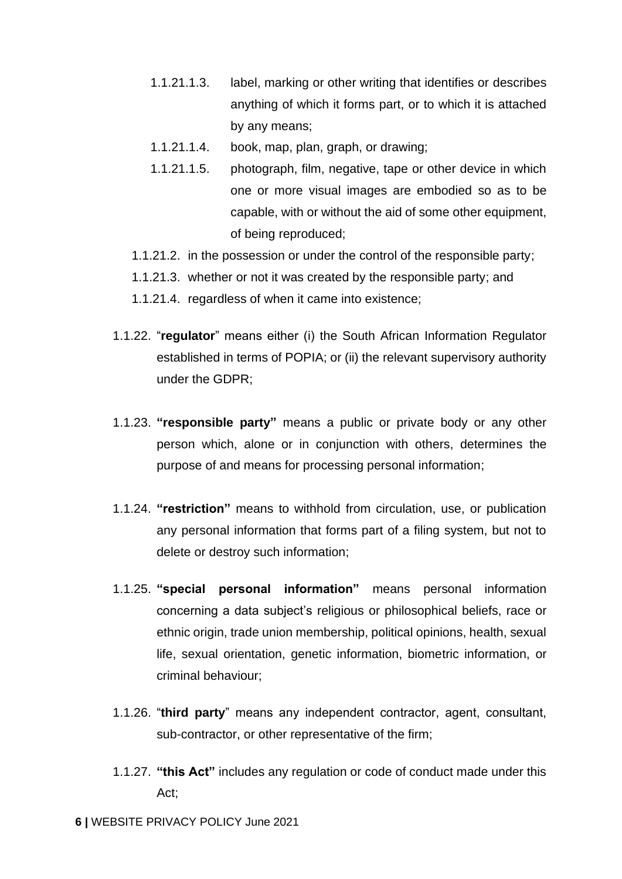- 1.1.21.1.3. label, marking or other writing that identifies or describes anything of which it forms part, or to which it is attached by any means;
- 1.1.21.1.4. book, map, plan, graph, or drawing;
- 1.1.21.1.5. photograph, film, negative, tape or other device in which one or more visual images are embodied so as to be capable, with or without the aid of some other equipment, of being reproduced;
- 1.1.21.2. in the possession or under the control of the responsible party;
- 1.1.21.3. whether or not it was created by the responsible party; and
- 1.1.21.4. regardless of when it came into existence;
- 1.1.22. "**regulator**" means either (i) the South African Information Regulator established in terms of POPIA; or (ii) the relevant supervisory authority under the GDPR;
- 1.1.23. **"responsible party"** means a public or private body or any other person which, alone or in conjunction with others, determines the purpose of and means for processing personal information;
- 1.1.24. **"restriction"** means to withhold from circulation, use, or publication any personal information that forms part of a filing system, but not to delete or destroy such information;
- 1.1.25. **"special personal information"** means personal information concerning a data subject's religious or philosophical beliefs, race or ethnic origin, trade union membership, political opinions, health, sexual life, sexual orientation, genetic information, biometric information, or criminal behaviour;
- 1.1.26. "**third party**" means any independent contractor, agent, consultant, sub-contractor, or other representative of the firm;
- 1.1.27. **"this Act"** includes any regulation or code of conduct made under this Act;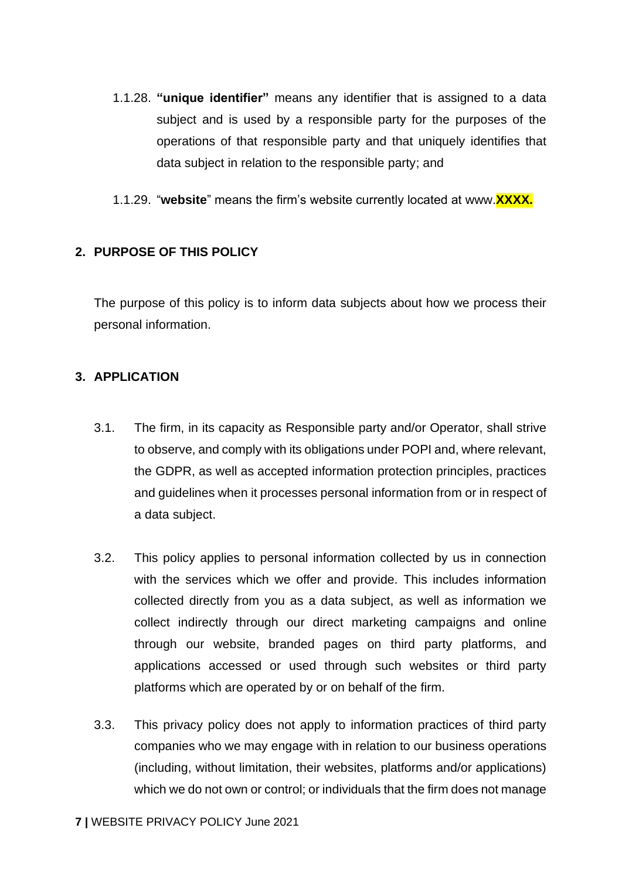- 1.1.28. **"unique identifier"** means any identifier that is assigned to a data subject and is used by a responsible party for the purposes of the operations of that responsible party and that uniquely identifies that data subject in relation to the responsible party; and
- 1.1.29. "**website**" means the firm's website currently located at www.**XXXX.**

# <span id="page-6-0"></span>**2. PURPOSE OF THIS POLICY**

The purpose of this policy is to inform data subjects about how we process their personal information.

# <span id="page-6-1"></span>**3. APPLICATION**

- 3.1. The firm, in its capacity as Responsible party and/or Operator, shall strive to observe, and comply with its obligations under POPI and, where relevant, the GDPR, as well as accepted information protection principles, practices and guidelines when it processes personal information from or in respect of a data subject.
- 3.2. This policy applies to personal information collected by us in connection with the services which we offer and provide. This includes information collected directly from you as a data subject, as well as information we collect indirectly through our direct marketing campaigns and online through our website, branded pages on third party platforms, and applications accessed or used through such websites or third party platforms which are operated by or on behalf of the firm.
- 3.3. This privacy policy does not apply to information practices of third party companies who we may engage with in relation to our business operations (including, without limitation, their websites, platforms and/or applications) which we do not own or control; or individuals that the firm does not manage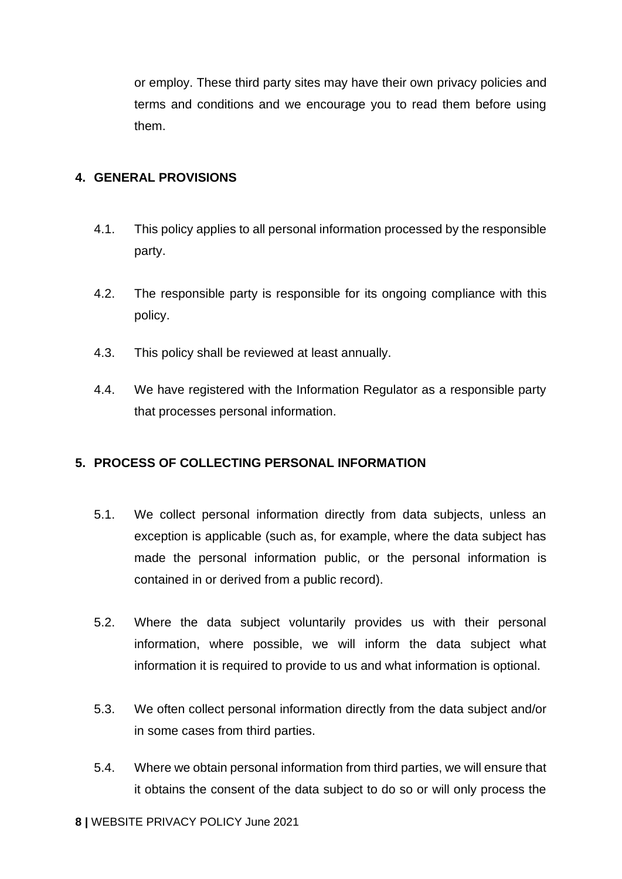or employ. These third party sites may have their own privacy policies and terms and conditions and we encourage you to read them before using them.

# <span id="page-7-0"></span>**4. GENERAL PROVISIONS**

- 4.1. This policy applies to all personal information processed by the responsible party.
- 4.2. The responsible party is responsible for its ongoing compliance with this policy.
- 4.3. This policy shall be reviewed at least annually.
- 4.4. We have registered with the Information Regulator as a responsible party that processes personal information.

# <span id="page-7-1"></span>**5. PROCESS OF COLLECTING PERSONAL INFORMATION**

- <span id="page-7-2"></span>5.1. We collect personal information directly from data subjects, unless an exception is applicable (such as, for example, where the data subject has made the personal information public, or the personal information is contained in or derived from a public record).
- 5.2. Where the data subject voluntarily provides us with their personal information, where possible, we will inform the data subject what information it is required to provide to us and what information is optional.
- 5.3. We often collect personal information directly from the data subject and/or in some cases from third parties.
- 5.4. Where we obtain personal information from third parties, we will ensure that it obtains the consent of the data subject to do so or will only process the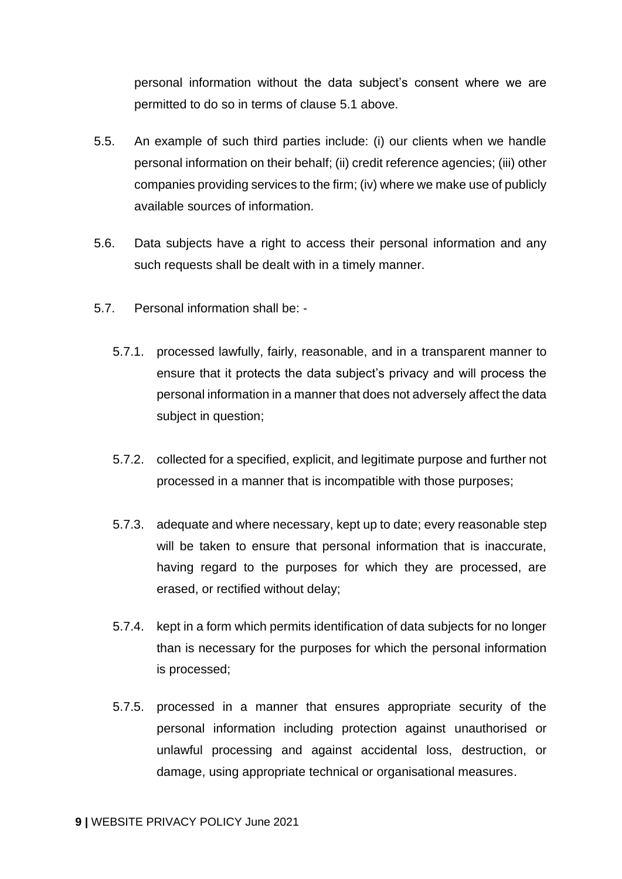personal information without the data subject's consent where we are permitted to do so in terms of clause [5.1](#page-7-2) above.

- 5.5. An example of such third parties include: (i) our clients when we handle personal information on their behalf; (ii) credit reference agencies; (iii) other companies providing services to the firm; (iv) where we make use of publicly available sources of information.
- 5.6. Data subjects have a right to access their personal information and any such requests shall be dealt with in a timely manner.
- 5.7. Personal information shall be:
	- 5.7.1. processed lawfully, fairly, reasonable, and in a transparent manner to ensure that it protects the data subject's privacy and will process the personal information in a manner that does not adversely affect the data subject in question;
	- 5.7.2. collected for a specified, explicit, and legitimate purpose and further not processed in a manner that is incompatible with those purposes;
	- 5.7.3. adequate and where necessary, kept up to date; every reasonable step will be taken to ensure that personal information that is inaccurate, having regard to the purposes for which they are processed, are erased, or rectified without delay;
	- 5.7.4. kept in a form which permits identification of data subjects for no longer than is necessary for the purposes for which the personal information is processed;
	- 5.7.5. processed in a manner that ensures appropriate security of the personal information including protection against unauthorised or unlawful processing and against accidental loss, destruction, or damage, using appropriate technical or organisational measures.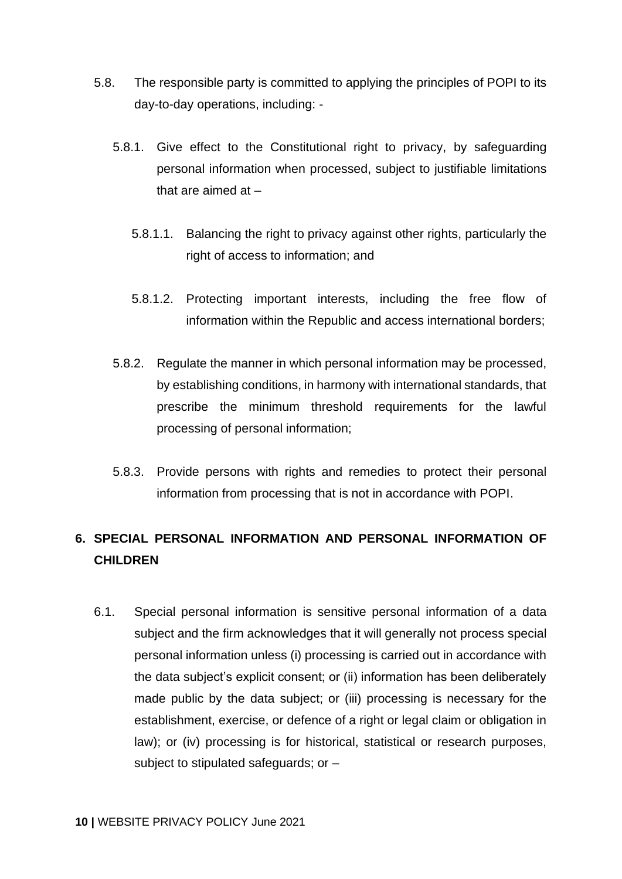- 5.8. The responsible party is committed to applying the principles of POPI to its day-to-day operations, including: -
	- 5.8.1. Give effect to the Constitutional right to privacy, by safeguarding personal information when processed, subject to justifiable limitations that are aimed at –
		- 5.8.1.1. Balancing the right to privacy against other rights, particularly the right of access to information; and
		- 5.8.1.2. Protecting important interests, including the free flow of information within the Republic and access international borders;
	- 5.8.2. Regulate the manner in which personal information may be processed, by establishing conditions, in harmony with international standards, that prescribe the minimum threshold requirements for the lawful processing of personal information;
	- 5.8.3. Provide persons with rights and remedies to protect their personal information from processing that is not in accordance with POPI.

# <span id="page-9-0"></span>**6. SPECIAL PERSONAL INFORMATION AND PERSONAL INFORMATION OF CHILDREN**

6.1. Special personal information is sensitive personal information of a data subject and the firm acknowledges that it will generally not process special personal information unless (i) processing is carried out in accordance with the data subject's explicit consent; or (ii) information has been deliberately made public by the data subject; or (iii) processing is necessary for the establishment, exercise, or defence of a right or legal claim or obligation in law); or (iv) processing is for historical, statistical or research purposes, subject to stipulated safeguards; or –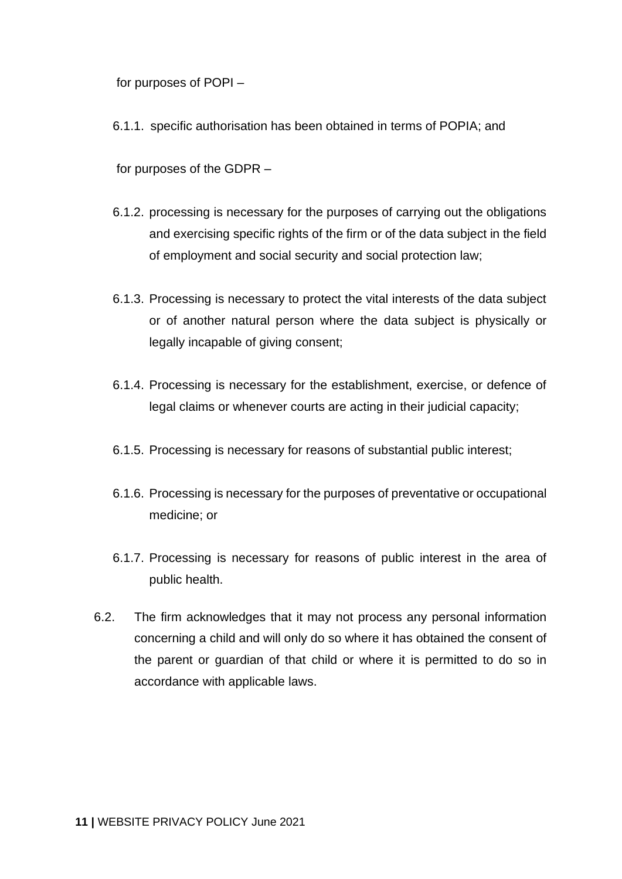for purposes of POPI –

6.1.1. specific authorisation has been obtained in terms of POPIA; and

for purposes of the GDPR –

- 6.1.2. processing is necessary for the purposes of carrying out the obligations and exercising specific rights of the firm or of the data subject in the field of employment and social security and social protection law;
- 6.1.3. Processing is necessary to protect the vital interests of the data subject or of another natural person where the data subject is physically or legally incapable of giving consent;
- 6.1.4. Processing is necessary for the establishment, exercise, or defence of legal claims or whenever courts are acting in their judicial capacity;
- 6.1.5. Processing is necessary for reasons of substantial public interest;
- 6.1.6. Processing is necessary for the purposes of preventative or occupational medicine; or
- 6.1.7. Processing is necessary for reasons of public interest in the area of public health.
- <span id="page-10-0"></span>6.2. The firm acknowledges that it may not process any personal information concerning a child and will only do so where it has obtained the consent of the parent or guardian of that child or where it is permitted to do so in accordance with applicable laws.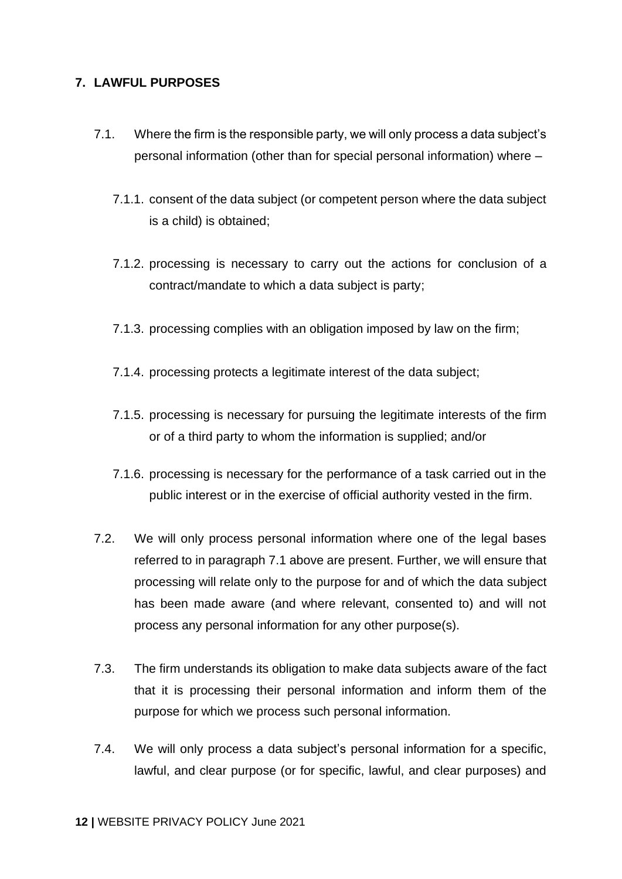# **7. LAWFUL PURPOSES**

- <span id="page-11-0"></span>7.1. Where the firm is the responsible party, we will only process a data subject's personal information (other than for special personal information) where –
	- 7.1.1. consent of the data subject (or competent person where the data subject is a child) is obtained;
	- 7.1.2. processing is necessary to carry out the actions for conclusion of a contract/mandate to which a data subject is party;
	- 7.1.3. processing complies with an obligation imposed by law on the firm;
	- 7.1.4. processing protects a legitimate interest of the data subject;
	- 7.1.5. processing is necessary for pursuing the legitimate interests of the firm or of a third party to whom the information is supplied; and/or
	- 7.1.6. processing is necessary for the performance of a task carried out in the public interest or in the exercise of official authority vested in the firm.
- 7.2. We will only process personal information where one of the legal bases referred to in paragraph [7.1](#page-11-0) above are present. Further, we will ensure that processing will relate only to the purpose for and of which the data subject has been made aware (and where relevant, consented to) and will not process any personal information for any other purpose(s).
- 7.3. The firm understands its obligation to make data subjects aware of the fact that it is processing their personal information and inform them of the purpose for which we process such personal information.
- 7.4. We will only process a data subject's personal information for a specific, lawful, and clear purpose (or for specific, lawful, and clear purposes) and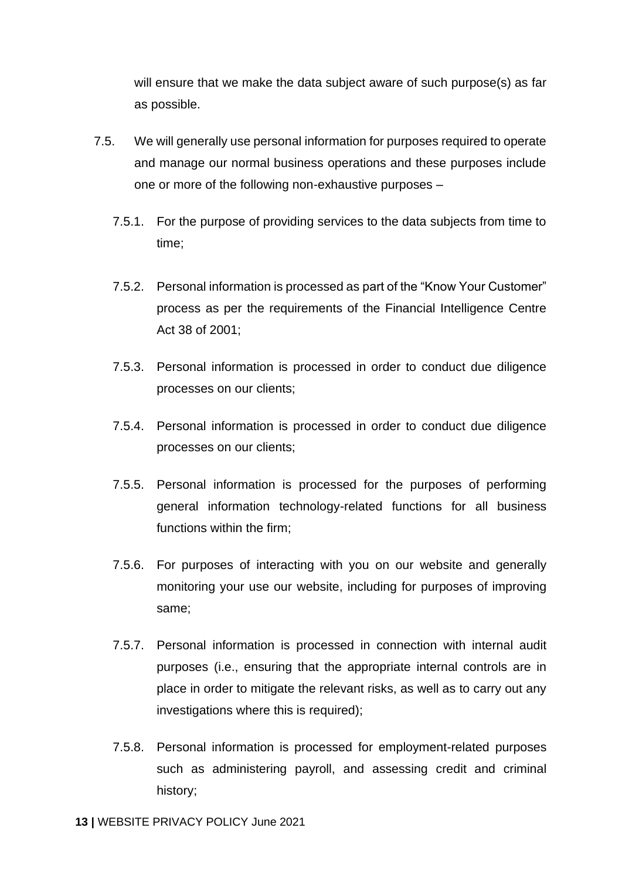will ensure that we make the data subject aware of such purpose(s) as far as possible.

- 7.5. We will generally use personal information for purposes required to operate and manage our normal business operations and these purposes include one or more of the following non-exhaustive purposes –
	- 7.5.1. For the purpose of providing services to the data subjects from time to time;
	- 7.5.2. Personal information is processed as part of the "Know Your Customer" process as per the requirements of the Financial Intelligence Centre Act 38 of 2001;
	- 7.5.3. Personal information is processed in order to conduct due diligence processes on our clients;
	- 7.5.4. Personal information is processed in order to conduct due diligence processes on our clients;
	- 7.5.5. Personal information is processed for the purposes of performing general information technology-related functions for all business functions within the firm;
	- 7.5.6. For purposes of interacting with you on our website and generally monitoring your use our website, including for purposes of improving same;
	- 7.5.7. Personal information is processed in connection with internal audit purposes (i.e., ensuring that the appropriate internal controls are in place in order to mitigate the relevant risks, as well as to carry out any investigations where this is required);
	- 7.5.8. Personal information is processed for employment-related purposes such as administering payroll, and assessing credit and criminal history;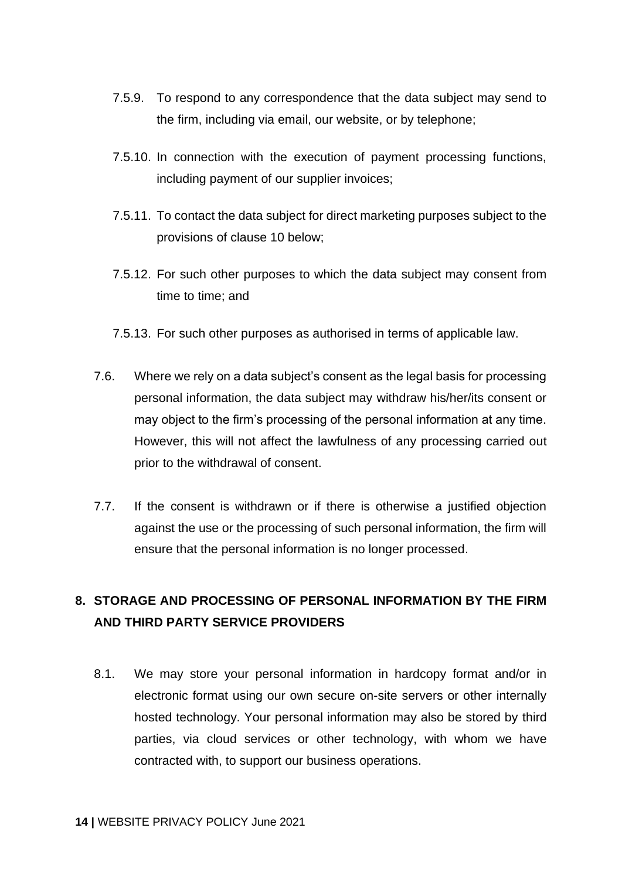- 7.5.9. To respond to any correspondence that the data subject may send to the firm, including via email, our website, or by telephone;
- 7.5.10. In connection with the execution of payment processing functions, including payment of our supplier invoices;
- 7.5.11. To contact the data subject for direct marketing purposes subject to the provisions of clause [10](#page-15-2) below;
- 7.5.12. For such other purposes to which the data subject may consent from time to time; and
- 7.5.13. For such other purposes as authorised in terms of applicable law.
- 7.6. Where we rely on a data subject's consent as the legal basis for processing personal information, the data subject may withdraw his/her/its consent or may object to the firm's processing of the personal information at any time. However, this will not affect the lawfulness of any processing carried out prior to the withdrawal of consent.
- 7.7. If the consent is withdrawn or if there is otherwise a justified objection against the use or the processing of such personal information, the firm will ensure that the personal information is no longer processed.

# <span id="page-13-0"></span>**8. STORAGE AND PROCESSING OF PERSONAL INFORMATION BY THE FIRM AND THIRD PARTY SERVICE PROVIDERS**

8.1. We may store your personal information in hardcopy format and/or in electronic format using our own secure on-site servers or other internally hosted technology. Your personal information may also be stored by third parties, via cloud services or other technology, with whom we have contracted with, to support our business operations.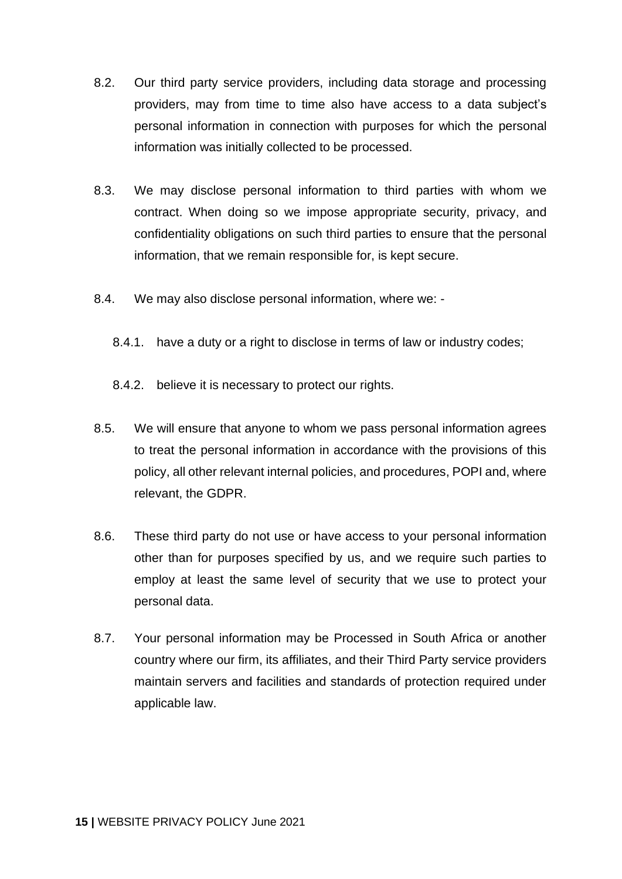- 8.2. Our third party service providers, including data storage and processing providers, may from time to time also have access to a data subject's personal information in connection with purposes for which the personal information was initially collected to be processed.
- 8.3. We may disclose personal information to third parties with whom we contract. When doing so we impose appropriate security, privacy, and confidentiality obligations on such third parties to ensure that the personal information, that we remain responsible for, is kept secure.
- 8.4. We may also disclose personal information, where we:
	- 8.4.1. have a duty or a right to disclose in terms of law or industry codes;
	- 8.4.2. believe it is necessary to protect our rights.
- 8.5. We will ensure that anyone to whom we pass personal information agrees to treat the personal information in accordance with the provisions of this policy, all other relevant internal policies, and procedures, POPI and, where relevant, the GDPR.
- 8.6. These third party do not use or have access to your personal information other than for purposes specified by us, and we require such parties to employ at least the same level of security that we use to protect your personal data.
- <span id="page-14-0"></span>8.7. Your personal information may be Processed in South Africa or another country where our firm, its affiliates, and their Third Party service providers maintain servers and facilities and standards of protection required under applicable law.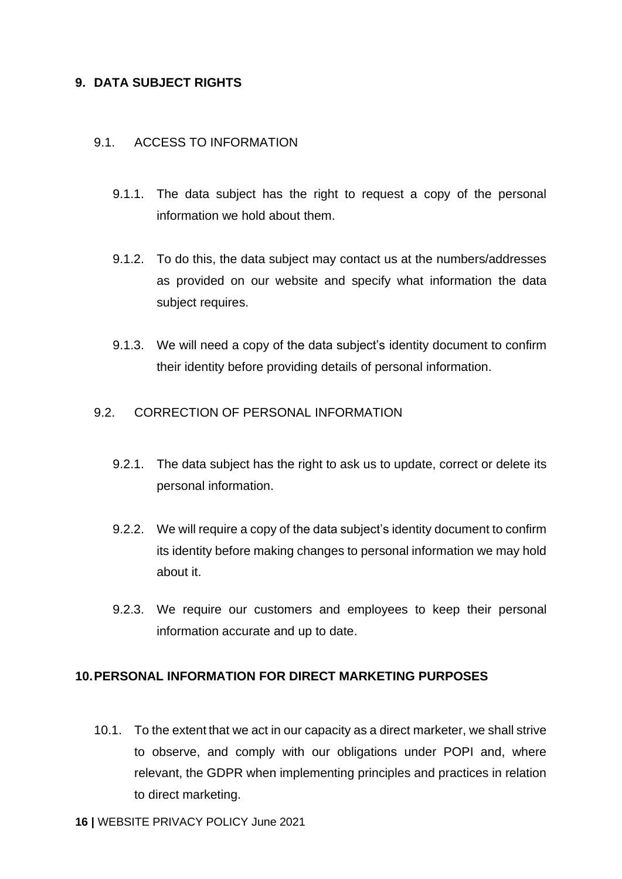# **9. DATA SUBJECT RIGHTS**

#### <span id="page-15-0"></span>9.1. ACCESS TO INFORMATION

- 9.1.1. The data subject has the right to request a copy of the personal information we hold about them.
- 9.1.2. To do this, the data subject may contact us at the numbers/addresses as provided on our website and specify what information the data subject requires.
- 9.1.3. We will need a copy of the data subject's identity document to confirm their identity before providing details of personal information.

#### <span id="page-15-1"></span>9.2. CORRECTION OF PERSONAL INFORMATION

- 9.2.1. The data subject has the right to ask us to update, correct or delete its personal information.
- 9.2.2. We will require a copy of the data subject's identity document to confirm its identity before making changes to personal information we may hold about it.
- 9.2.3. We require our customers and employees to keep their personal information accurate and up to date.

#### <span id="page-15-2"></span>**10.PERSONAL INFORMATION FOR DIRECT MARKETING PURPOSES**

10.1. To the extent that we act in our capacity as a direct marketer, we shall strive to observe, and comply with our obligations under POPI and, where relevant, the GDPR when implementing principles and practices in relation to direct marketing.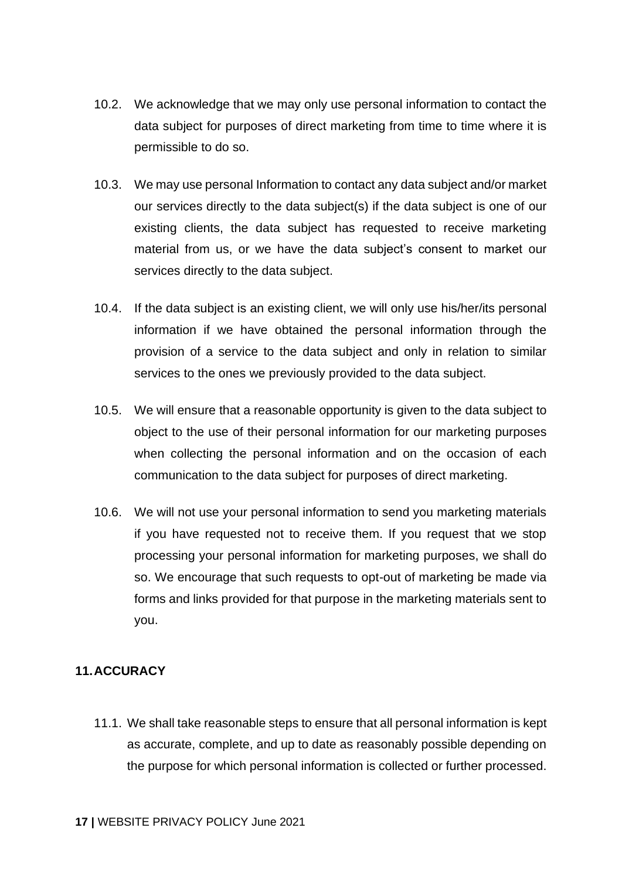- 10.2. We acknowledge that we may only use personal information to contact the data subject for purposes of direct marketing from time to time where it is permissible to do so.
- 10.3. We may use personal Information to contact any data subject and/or market our services directly to the data subject(s) if the data subject is one of our existing clients, the data subject has requested to receive marketing material from us, or we have the data subject's consent to market our services directly to the data subject.
- 10.4. If the data subject is an existing client, we will only use his/her/its personal information if we have obtained the personal information through the provision of a service to the data subject and only in relation to similar services to the ones we previously provided to the data subject.
- 10.5. We will ensure that a reasonable opportunity is given to the data subject to object to the use of their personal information for our marketing purposes when collecting the personal information and on the occasion of each communication to the data subject for purposes of direct marketing.
- 10.6. We will not use your personal information to send you marketing materials if you have requested not to receive them. If you request that we stop processing your personal information for marketing purposes, we shall do so. We encourage that such requests to opt-out of marketing be made via forms and links provided for that purpose in the marketing materials sent to you.

# <span id="page-16-0"></span>**11.ACCURACY**

11.1. We shall take reasonable steps to ensure that all personal information is kept as accurate, complete, and up to date as reasonably possible depending on the purpose for which personal information is collected or further processed.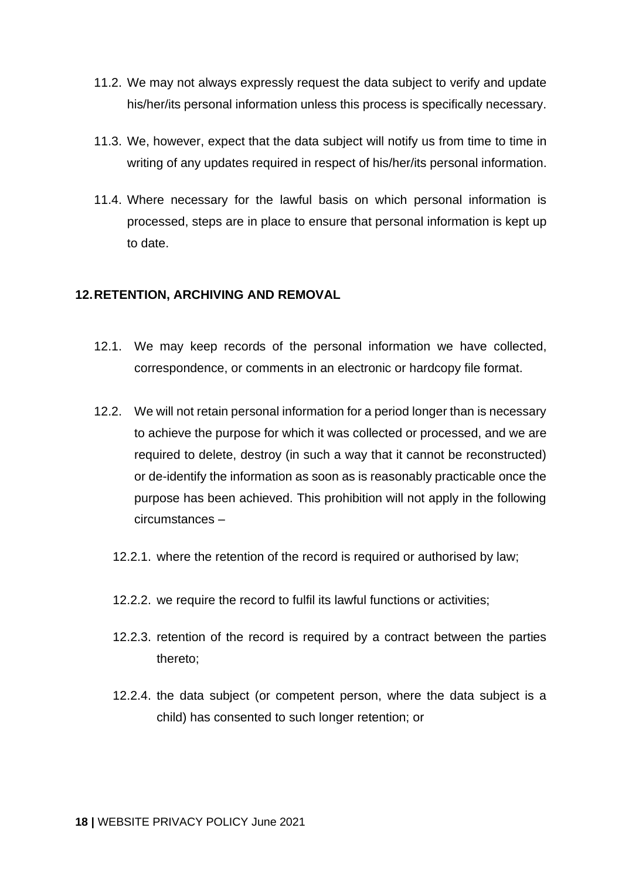- 11.2. We may not always expressly request the data subject to verify and update his/her/its personal information unless this process is specifically necessary.
- 11.3. We, however, expect that the data subject will notify us from time to time in writing of any updates required in respect of his/her/its personal information.
- 11.4. Where necessary for the lawful basis on which personal information is processed, steps are in place to ensure that personal information is kept up to date.

#### <span id="page-17-0"></span>**12.RETENTION, ARCHIVING AND REMOVAL**

- 12.1. We may keep records of the personal information we have collected, correspondence, or comments in an electronic or hardcopy file format.
- 12.2. We will not retain personal information for a period longer than is necessary to achieve the purpose for which it was collected or processed, and we are required to delete, destroy (in such a way that it cannot be reconstructed) or de-identify the information as soon as is reasonably practicable once the purpose has been achieved. This prohibition will not apply in the following circumstances –
	- 12.2.1. where the retention of the record is required or authorised by law;
	- 12.2.2. we require the record to fulfil its lawful functions or activities;
	- 12.2.3. retention of the record is required by a contract between the parties thereto;
	- 12.2.4. the data subject (or competent person, where the data subject is a child) has consented to such longer retention; or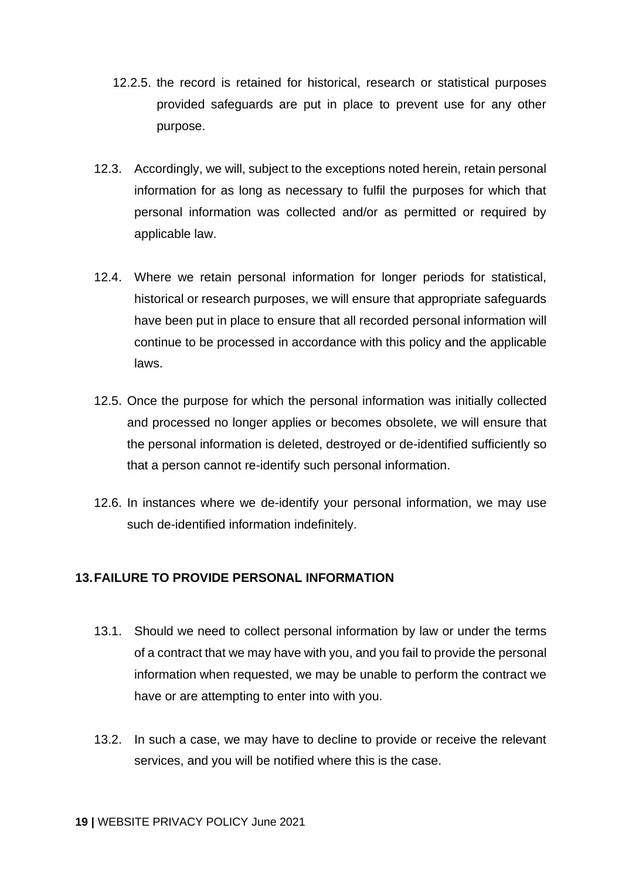- 12.2.5. the record is retained for historical, research or statistical purposes provided safeguards are put in place to prevent use for any other purpose.
- 12.3. Accordingly, we will, subject to the exceptions noted herein, retain personal information for as long as necessary to fulfil the purposes for which that personal information was collected and/or as permitted or required by applicable law.
- 12.4. Where we retain personal information for longer periods for statistical, historical or research purposes, we will ensure that appropriate safeguards have been put in place to ensure that all recorded personal information will continue to be processed in accordance with this policy and the applicable laws.
- 12.5. Once the purpose for which the personal information was initially collected and processed no longer applies or becomes obsolete, we will ensure that the personal information is deleted, destroyed or de-identified sufficiently so that a person cannot re-identify such personal information.
- 12.6. In instances where we de-identify your personal information, we may use such de-identified information indefinitely.

# <span id="page-18-0"></span>**13.FAILURE TO PROVIDE PERSONAL INFORMATION**

- 13.1. Should we need to collect personal information by law or under the terms of a contract that we may have with you, and you fail to provide the personal information when requested, we may be unable to perform the contract we have or are attempting to enter into with you.
- 13.2. In such a case, we may have to decline to provide or receive the relevant services, and you will be notified where this is the case.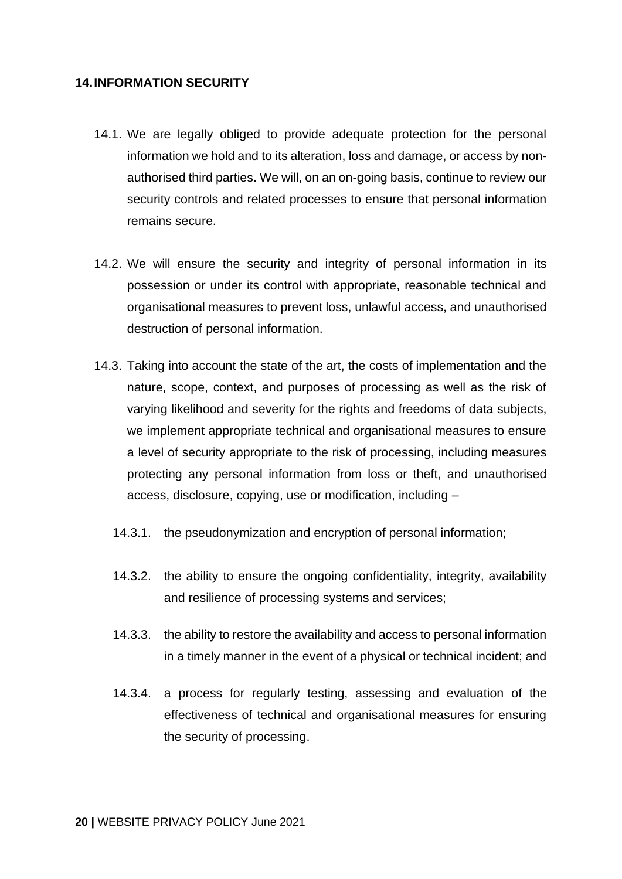#### <span id="page-19-0"></span>**14.INFORMATION SECURITY**

- 14.1. We are legally obliged to provide adequate protection for the personal information we hold and to its alteration, loss and damage, or access by nonauthorised third parties. We will, on an on-going basis, continue to review our security controls and related processes to ensure that personal information remains secure.
- 14.2. We will ensure the security and integrity of personal information in its possession or under its control with appropriate, reasonable technical and organisational measures to prevent loss, unlawful access, and unauthorised destruction of personal information.
- 14.3. Taking into account the state of the art, the costs of implementation and the nature, scope, context, and purposes of processing as well as the risk of varying likelihood and severity for the rights and freedoms of data subjects, we implement appropriate technical and organisational measures to ensure a level of security appropriate to the risk of processing, including measures protecting any personal information from loss or theft, and unauthorised access, disclosure, copying, use or modification, including –
	- 14.3.1. the pseudonymization and encryption of personal information;
	- 14.3.2. the ability to ensure the ongoing confidentiality, integrity, availability and resilience of processing systems and services;
	- 14.3.3. the ability to restore the availability and access to personal information in a timely manner in the event of a physical or technical incident; and
	- 14.3.4. a process for regularly testing, assessing and evaluation of the effectiveness of technical and organisational measures for ensuring the security of processing.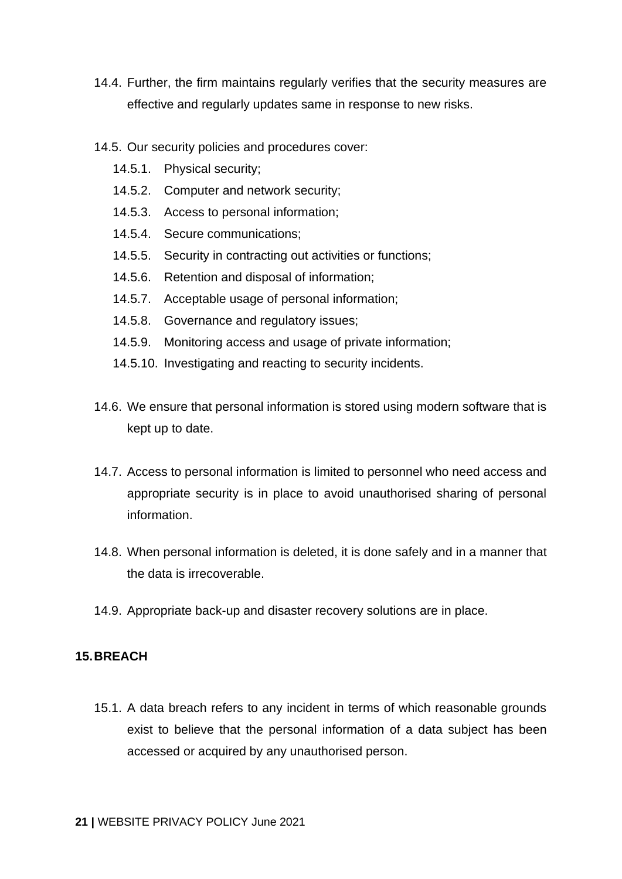- 14.4. Further, the firm maintains regularly verifies that the security measures are effective and regularly updates same in response to new risks.
- 14.5. Our security policies and procedures cover:
	- 14.5.1. Physical security;
	- 14.5.2. Computer and network security;
	- 14.5.3. Access to personal information;
	- 14.5.4. Secure communications;
	- 14.5.5. Security in contracting out activities or functions;
	- 14.5.6. Retention and disposal of information;
	- 14.5.7. Acceptable usage of personal information;
	- 14.5.8. Governance and regulatory issues;
	- 14.5.9. Monitoring access and usage of private information;
	- 14.5.10. Investigating and reacting to security incidents.
- 14.6. We ensure that personal information is stored using modern software that is kept up to date.
- 14.7. Access to personal information is limited to personnel who need access and appropriate security is in place to avoid unauthorised sharing of personal information.
- 14.8. When personal information is deleted, it is done safely and in a manner that the data is irrecoverable.
- 14.9. Appropriate back-up and disaster recovery solutions are in place.

#### <span id="page-20-0"></span>**15.BREACH**

15.1. A data breach refers to any incident in terms of which reasonable grounds exist to believe that the personal information of a data subject has been accessed or acquired by any unauthorised person.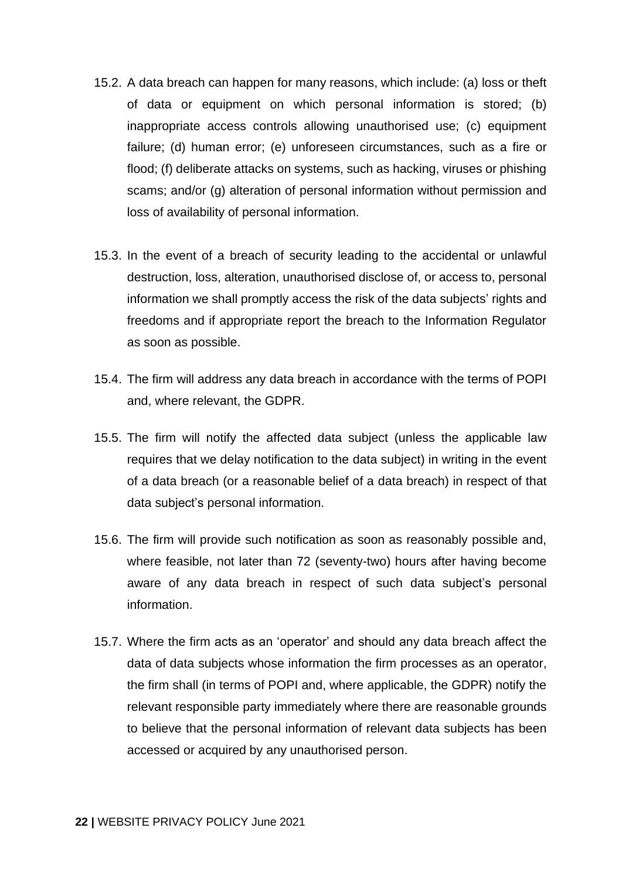- 15.2. A data breach can happen for many reasons, which include: (a) loss or theft of data or equipment on which personal information is stored; (b) inappropriate access controls allowing unauthorised use; (c) equipment failure; (d) human error; (e) unforeseen circumstances, such as a fire or flood; (f) deliberate attacks on systems, such as hacking, viruses or phishing scams; and/or (g) alteration of personal information without permission and loss of availability of personal information.
- 15.3. In the event of a breach of security leading to the accidental or unlawful destruction, loss, alteration, unauthorised disclose of, or access to, personal information we shall promptly access the risk of the data subjects' rights and freedoms and if appropriate report the breach to the Information Regulator as soon as possible.
- 15.4. The firm will address any data breach in accordance with the terms of POPI and, where relevant, the GDPR.
- 15.5. The firm will notify the affected data subject (unless the applicable law requires that we delay notification to the data subject) in writing in the event of a data breach (or a reasonable belief of a data breach) in respect of that data subject's personal information.
- 15.6. The firm will provide such notification as soon as reasonably possible and, where feasible, not later than 72 (seventy-two) hours after having become aware of any data breach in respect of such data subject's personal information.
- <span id="page-21-0"></span>15.7. Where the firm acts as an 'operator' and should any data breach affect the data of data subjects whose information the firm processes as an operator, the firm shall (in terms of POPI and, where applicable, the GDPR) notify the relevant responsible party immediately where there are reasonable grounds to believe that the personal information of relevant data subjects has been accessed or acquired by any unauthorised person.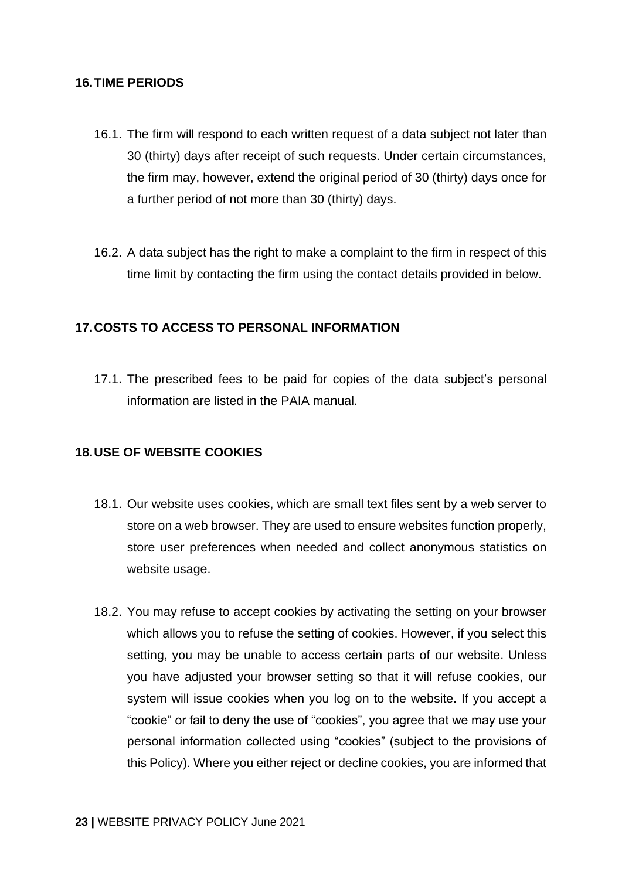#### **16.TIME PERIODS**

- 16.1. The firm will respond to each written request of a data subject not later than 30 (thirty) days after receipt of such requests. Under certain circumstances, the firm may, however, extend the original period of 30 (thirty) days once for a further period of not more than 30 (thirty) days.
- 16.2. A data subject has the right to make a complaint to the firm in respect of this time limit by contacting the firm using the contact details provided in below.

# <span id="page-22-0"></span>**17.COSTS TO ACCESS TO PERSONAL INFORMATION**

17.1. The prescribed fees to be paid for copies of the data subject's personal information are listed in the PAIA manual.

# <span id="page-22-1"></span>**18.USE OF WEBSITE COOKIES**

- 18.1. Our website uses cookies, which are small text files sent by a web server to store on a web browser. They are used to ensure websites function properly, store user preferences when needed and collect anonymous statistics on website usage.
- 18.2. You may refuse to accept cookies by activating the setting on your browser which allows you to refuse the setting of cookies. However, if you select this setting, you may be unable to access certain parts of our website. Unless you have adjusted your browser setting so that it will refuse cookies, our system will issue cookies when you log on to the website. If you accept a "cookie" or fail to deny the use of "cookies", you agree that we may use your personal information collected using "cookies" (subject to the provisions of this Policy). Where you either reject or decline cookies, you are informed that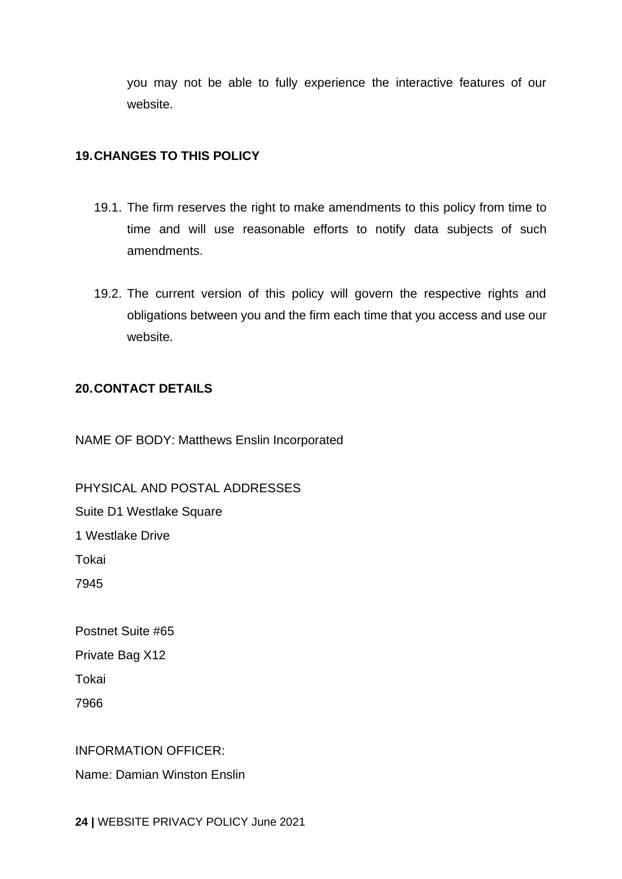you may not be able to fully experience the interactive features of our website.

### <span id="page-23-0"></span>**19.CHANGES TO THIS POLICY**

- 19.1. The firm reserves the right to make amendments to this policy from time to time and will use reasonable efforts to notify data subjects of such amendments.
- 19.2. The current version of this policy will govern the respective rights and obligations between you and the firm each time that you access and use our website.

#### <span id="page-23-1"></span>**20.CONTACT DETAILS**

NAME OF BODY: Matthews Enslin Incorporated

PHYSICAL AND POSTAL ADDRESSES Suite D1 Westlake Square 1 Westlake Drive Tokai 7945

Postnet Suite #65 Private Bag X12 Tokai 7966

# INFORMATION OFFICER:

Name: Damian Winston Enslin

**24 |** WEBSITE PRIVACY POLICY June 2021